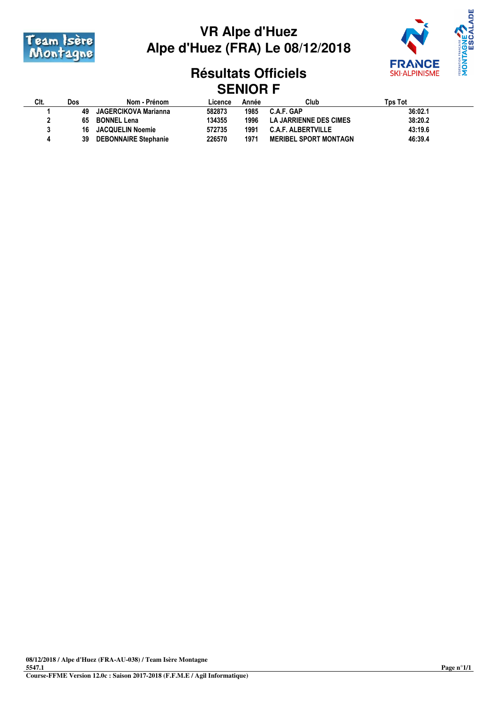



## **Résultats Officiels SENIOR F**

| CIt. | Dos | Nom - Prénom                | Licence | Année | Club                         | Tɒs Tot |  |
|------|-----|-----------------------------|---------|-------|------------------------------|---------|--|
|      | 49  | JAGERCIKOVA Marianna        | 582873  | 1985  | C.A.F. GAP                   | 36:02.1 |  |
|      | 65  | <b>BONNEL Lena</b>          | 134355  | 1996  | LA JARRIENNE DES CIMES       | 38:20.2 |  |
|      | 16  | <b>JACQUELIN Noemie</b>     | 572735  | 1991  | <b>C.A.F. ALBERTVILLE</b>    | 43:19.6 |  |
|      | 39  | <b>DEBONNAIRE Stephanie</b> | 226570  | 1971  | <b>MERIBEL SPORT MONTAGN</b> | 46:39.4 |  |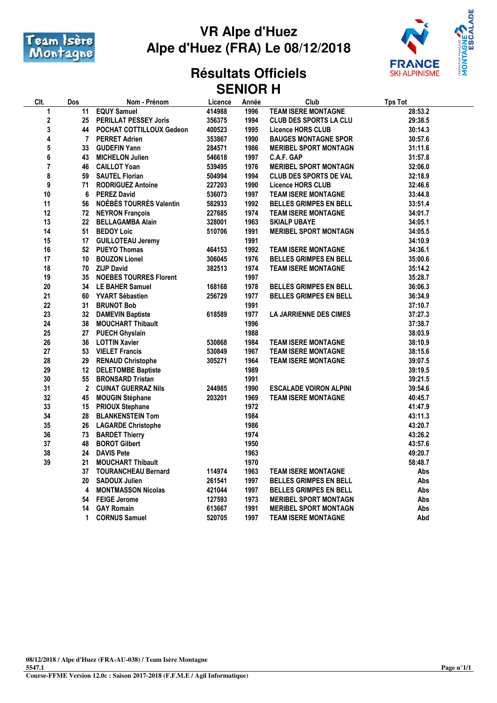



### **Résultats Officiels SENIOR H**

| Clt. | Dos             | Nom - Prénom                  | Licence | Année | Club                          | <b>Tps Tot</b> |
|------|-----------------|-------------------------------|---------|-------|-------------------------------|----------------|
| 1    | 11              | <b>EQUY Samuel</b>            | 414988  | 1996  | <b>TEAM ISERE MONTAGNE</b>    | 28:53.2        |
| 2    | 25              | <b>PERILLAT PESSEY Joris</b>  | 356375  | 1994  | <b>CLUB DES SPORTS LA CLU</b> | 29:38.5        |
| 3    | 44              | POCHAT COTTILLOUX Gedeon      | 400523  | 1995  | Licence HORS CLUB             | 30:14.3        |
| 4    | $\overline{7}$  | <b>PERRET Adrien</b>          | 353867  | 1990  | <b>BAUGES MONTAGNE SPOR</b>   | 30:57.6        |
| 5    | 33              | <b>GUDEFIN Yann</b>           | 284571  | 1986  | <b>MERIBEL SPORT MONTAGN</b>  | 31:11.6        |
| 6    | 43              | <b>MICHELON Julien</b>        | 546618  | 1997  | <b>C.A.F. GAP</b>             | 31:57.8        |
| 7    | 46              | <b>CAILLOT Yoan</b>           | 539495  | 1976  | <b>MERIBEL SPORT MONTAGN</b>  | 32:06.0        |
| 8    | 59              | <b>SAUTEL Florian</b>         | 504994  | 1994  | <b>CLUB DES SPORTS DE VAL</b> | 32:18.9        |
| 9    | 71              | <b>RODRIGUEZ Antoine</b>      | 227203  | 1990  | <b>Licence HORS CLUB</b>      | 32:46.6        |
| 10   | 6               | <b>PEREZ David</b>            | 536073  | 1997  | <b>TEAM ISERE MONTAGNE</b>    | 33:44.8        |
| 11   | 56              | NOÉBÈS TOURRÈS Valentin       | 582933  | 1992  | <b>BELLES GRIMPES EN BELL</b> | 33:51.4        |
| 12   | 72              | <b>NEYRON François</b>        | 227685  | 1974  | <b>TEAM ISERE MONTAGNE</b>    | 34:01.7        |
| 13   | 22              | <b>BELLAGAMBA Alain</b>       | 328001  | 1963  | <b>SKIALP UBAYE</b>           | 34:05.1        |
| 14   | 51              | <b>BEDOY Loic</b>             | 510706  | 1991  | <b>MERIBEL SPORT MONTAGN</b>  | 34:05.5        |
| 15   | 17              | <b>GUILLOTEAU Jeremy</b>      |         | 1991  |                               | 34:10.9        |
| 16   | 52              | <b>PUEYO Thomas</b>           | 464153  | 1992  | <b>TEAM ISERE MONTAGNE</b>    | 34:36.1        |
| 17   | 10 <sup>°</sup> | <b>BOUZON Lionel</b>          | 306045  | 1976  | <b>BELLES GRIMPES EN BELL</b> | 35:00.6        |
| 18   | 70              | <b>ZIJP David</b>             | 382513  | 1974  | <b>TEAM ISERE MONTAGNE</b>    | 35:14.2        |
| 19   | 35              | <b>NOEBES TOURRES Florent</b> |         | 1997  |                               | 35:28.7        |
| 20   | 34              | LE BAHER Samuel               | 168168  | 1978  | <b>BELLES GRIMPES EN BELL</b> | 36:06.3        |
| 21   | 60              | <b>YVART Sébastien</b>        | 256729  | 1977  | <b>BELLES GRIMPES EN BELL</b> | 36:34.9        |
| 22   | 31              | <b>BRUNOT Bob</b>             |         | 1991  |                               | 37:10.7        |
| 23   | 32              | <b>DAMEVIN Baptiste</b>       | 618589  | 1977  | <b>LA JARRIENNE DES CIMES</b> | 37:27.3        |
| 24   | 38              | <b>MOUCHART Thibault</b>      |         | 1996  |                               | 37:38.7        |
| 25   | 27              | <b>PUECH Ghyslain</b>         |         | 1988  |                               | 38:03.9        |
| 26   | 36              | <b>LOTTIN Xavier</b>          | 530868  | 1984  | <b>TEAM ISERE MONTAGNE</b>    | 38:10.9        |
| 27   | 53              | <b>VIELET Francis</b>         | 530849  | 1967  | <b>TEAM ISERE MONTAGNE</b>    | 38:15.6        |
| 28   | 29              | <b>RENAUD Christophe</b>      | 305271  | 1964  | TEAM ISERE MONTAGNE           | 39:07.5        |
| 29   | 12              | <b>DELETOMBE Baptiste</b>     |         | 1989  |                               | 39:19.5        |
| 30   | 55              | <b>BRONSARD Tristan</b>       |         | 1991  |                               | 39:21.5        |
| 31   | $\mathbf{2}$    | <b>CUINAT GUERRAZ Nils</b>    | 244985  | 1990  | <b>ESCALADE VOIRON ALPINI</b> | 39:54.6        |
| 32   | 45              | <b>MOUGIN Stéphane</b>        | 203201  | 1969  | <b>TEAM ISERE MONTAGNE</b>    | 40:45.7        |
| 33   | 15              | <b>PRIOUX Stephane</b>        |         | 1972  |                               | 41:47.9        |
| 34   | 28              | <b>BLANKENSTEIN Tom</b>       |         | 1984  |                               | 43:11.3        |
| 35   | 26              | <b>LAGARDE Christophe</b>     |         | 1986  |                               | 43:20.7        |
| 36   | 73              | <b>BARDET Thierry</b>         |         | 1974  |                               | 43:26.2        |
| 37   | 48              | <b>BOROT Gilbert</b>          |         | 1950  |                               | 43:57.6        |
| 38   | 24              | <b>DAVIS Pete</b>             |         | 1963  |                               | 49:20.7        |
| 39   | 21              | <b>MOUCHART Thibault</b>      |         | 1970  |                               | 58:48.7        |
|      | 37              | <b>TOURANCHEAU Bernard</b>    | 114974  | 1963  | <b>TEAM ISERE MONTAGNE</b>    | Abs            |
|      | 20              | <b>SADOUX Julien</b>          | 261541  | 1997  | <b>BELLES GRIMPES EN BELL</b> | Abs            |
|      | 4               | <b>MONTMASSON Nicolas</b>     | 421044  | 1997  | <b>BELLES GRIMPES EN BELL</b> | Abs            |
|      | 54              | <b>FEIGE Jerome</b>           | 127593  | 1973  | <b>MERIBEL SPORT MONTAGN</b>  | Abs            |
|      | 14              | <b>GAY Romain</b>             | 613667  | 1991  | <b>MERIBEL SPORT MONTAGN</b>  | Abs            |
|      | 1               | <b>CORNUS Samuel</b>          | 520705  | 1997  | TEAM ISERE MONTAGNE           | Abd            |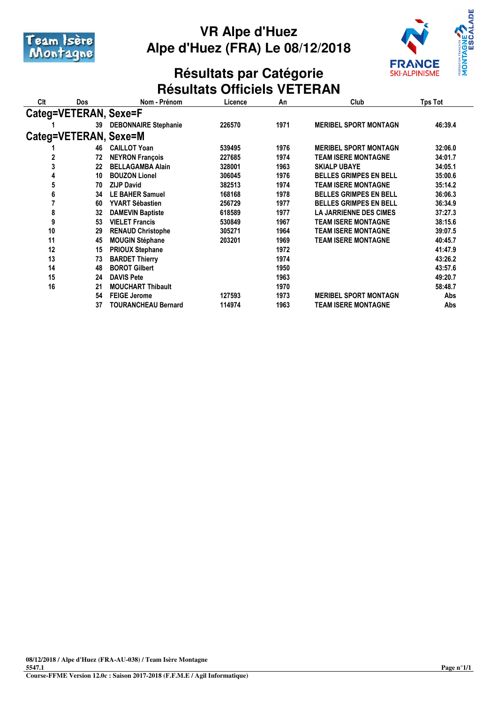



### **Résultats par Catégorie Résultats Officiels VETERAN**

| Clt                   | Dos                   | Nom - Prénom                | Licence | An   | Club                          | Tps Tot |  |
|-----------------------|-----------------------|-----------------------------|---------|------|-------------------------------|---------|--|
| Categ=VETERAN, Sexe=F |                       |                             |         |      |                               |         |  |
|                       | 39                    | <b>DEBONNAIRE Stephanie</b> | 226570  | 1971 | <b>MERIBEL SPORT MONTAGN</b>  | 46:39.4 |  |
|                       | Categ=VETERAN, Sexe=M |                             |         |      |                               |         |  |
|                       | 46                    | <b>CAILLOT Yoan</b>         | 539495  | 1976 | <b>MERIBEL SPORT MONTAGN</b>  | 32:06.0 |  |
| 2                     | 72                    | <b>NEYRON François</b>      | 227685  | 1974 | TEAM ISERE MONTAGNE           | 34:01.7 |  |
| 3                     | 22                    | <b>BELLAGAMBA Alain</b>     | 328001  | 1963 | <b>SKIALP UBAYE</b>           | 34:05.1 |  |
| 4                     | 10                    | <b>BOUZON Lionel</b>        | 306045  | 1976 | <b>BELLES GRIMPES EN BELL</b> | 35:00.6 |  |
| 5                     | 70                    | <b>ZIJP David</b>           | 382513  | 1974 | TEAM ISERE MONTAGNE           | 35:14.2 |  |
| 6                     | 34                    | <b>LE BAHER Samuel</b>      | 168168  | 1978 | <b>BELLES GRIMPES EN BELL</b> | 36:06.3 |  |
| 7                     | 60                    | YVART Sébastien             | 256729  | 1977 | <b>BELLES GRIMPES EN BELL</b> | 36:34.9 |  |
| 8                     | 32                    | <b>DAMEVIN Baptiste</b>     | 618589  | 1977 | <b>LA JARRIENNE DES CIMES</b> | 37:27.3 |  |
| 9                     | 53                    | <b>VIELET Francis</b>       | 530849  | 1967 | TEAM ISERE MONTAGNE           | 38:15.6 |  |
| 10                    | 29                    | <b>RENAUD Christophe</b>    | 305271  | 1964 | TEAM ISERE MONTAGNE           | 39:07.5 |  |
| 11                    | 45                    | <b>MOUGIN Stéphane</b>      | 203201  | 1969 | TEAM ISERE MONTAGNE           | 40:45.7 |  |
| 12                    | 15                    | <b>PRIOUX Stephane</b>      |         | 1972 |                               | 41:47.9 |  |
| 13                    | 73                    | <b>BARDET Thierry</b>       |         | 1974 |                               | 43:26.2 |  |
| 14                    | 48                    | <b>BOROT Gilbert</b>        |         | 1950 |                               | 43:57.6 |  |
| 15                    | 24                    | <b>DAVIS Pete</b>           |         | 1963 |                               | 49:20.7 |  |
| 16                    | 21                    | <b>MOUCHART Thibault</b>    |         | 1970 |                               | 58:48.7 |  |
|                       | 54                    | <b>FEIGE Jerome</b>         | 127593  | 1973 | <b>MERIBEL SPORT MONTAGN</b>  | Abs     |  |
|                       | 37                    | <b>TOURANCHEAU Bernard</b>  | 114974  | 1963 | TEAM ISERE MONTAGNE           | Abs     |  |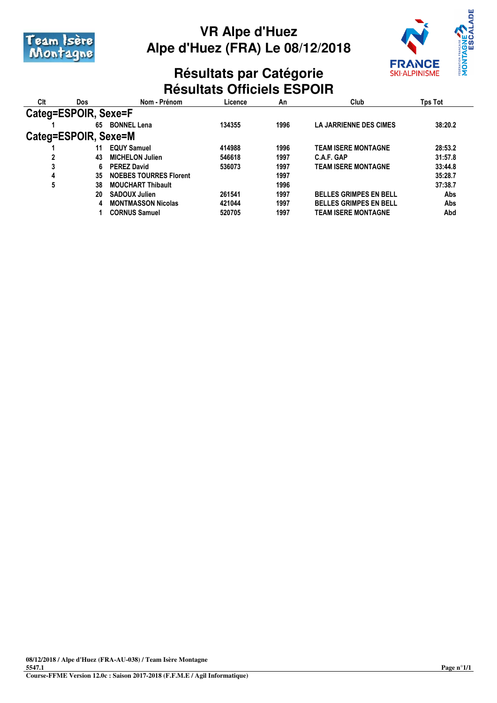



## **Résultats par Catégorie Résultats Officiels ESPOIR**

| Clt                  | Dos | Nom - Prénom                  | Licence | An   | Club                          | Tps Tot |
|----------------------|-----|-------------------------------|---------|------|-------------------------------|---------|
| Categ=ESPOIR, Sexe=F |     |                               |         |      |                               |         |
|                      | 65  | <b>BONNEL Lena</b>            | 134355  | 1996 | <b>LA JARRIENNE DES CIMES</b> | 38:20.2 |
| Categ=ESPOIR, Sexe=M |     |                               |         |      |                               |         |
|                      | 11  | <b>EQUY Samuel</b>            | 414988  | 1996 | <b>TEAM ISERE MONTAGNE</b>    | 28:53.2 |
|                      | 43  | <b>MICHELON Julien</b>        | 546618  | 1997 | C.A.F. GAP                    | 31:57.8 |
| 3                    | 6.  | <b>PEREZ David</b>            | 536073  | 1997 | <b>TEAM ISERE MONTAGNE</b>    | 33:44.8 |
| 4                    | 35  | <b>NOEBES TOURRES Florent</b> |         | 1997 |                               | 35:28.7 |
| 5                    | 38  | <b>MOUCHART Thibault</b>      |         | 1996 |                               | 37:38.7 |
|                      | 20  | <b>SADOUX Julien</b>          | 261541  | 1997 | <b>BELLES GRIMPES EN BELL</b> | Abs     |
|                      | 4   | <b>MONTMASSON Nicolas</b>     | 421044  | 1997 | <b>BELLES GRIMPES EN BELL</b> | Abs     |
|                      |     | <b>CORNUS Samuel</b>          | 520705  | 1997 | <b>TEAM ISERE MONTAGNE</b>    | Abd     |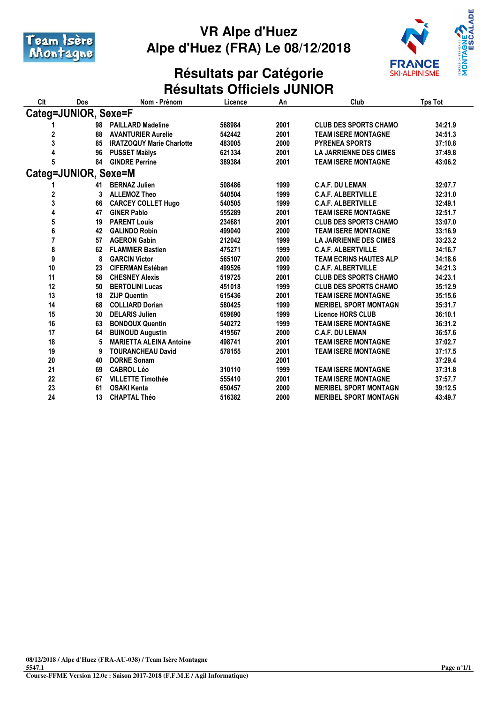



### **Résultats par Catégorie Résultats Officiels JUNIOR**

| Clt                  | Dos                  | Nom - Prénom                     | Licence | An   | Club                          | <b>Tps Tot</b> |  |
|----------------------|----------------------|----------------------------------|---------|------|-------------------------------|----------------|--|
| Categ=JUNIOR, Sexe=F |                      |                                  |         |      |                               |                |  |
|                      | 98                   | <b>PAILLARD Madeline</b>         | 568984  | 2001 | <b>CLUB DES SPORTS CHAMO</b>  | 34:21.9        |  |
| 2                    | 88                   | <b>AVANTURIER Aurelie</b>        | 542442  | 2001 | <b>TEAM ISERE MONTAGNE</b>    | 34:51.3        |  |
| 3                    | 85                   | <b>IRATZOQUY Marie Charlotte</b> | 483005  | 2000 | <b>PYRENEA SPORTS</b>         | 37:10.8        |  |
| 4                    | 96                   | <b>PUSSET Maëlys</b>             | 621334  | 2001 | <b>LA JARRIENNE DES CIMES</b> | 37:49.8        |  |
| 5                    | 84                   | <b>GINDRE Perrine</b>            | 389384  | 2001 | <b>TEAM ISERE MONTAGNE</b>    | 43:06.2        |  |
|                      | Categ=JUNIOR, Sexe=M |                                  |         |      |                               |                |  |
|                      | 41                   | <b>BERNAZ Julien</b>             | 508486  | 1999 | <b>C.A.F. DU LEMAN</b>        | 32:07.7        |  |
| 2                    | 3                    | <b>ALLEMOZ Theo</b>              | 540504  | 1999 | <b>C.A.F. ALBERTVILLE</b>     | 32:31.0        |  |
| 3                    | 66                   | <b>CARCEY COLLET Hugo</b>        | 540505  | 1999 | <b>C.A.F. ALBERTVILLE</b>     | 32:49.1        |  |
| 4                    | 47                   | <b>GINER Pablo</b>               | 555289  | 2001 | <b>TEAM ISERE MONTAGNE</b>    | 32:51.7        |  |
| 5                    | 19                   | <b>PARENT Louis</b>              | 234681  | 2001 | <b>CLUB DES SPORTS CHAMO</b>  | 33:07.0        |  |
| 6                    | 42                   | <b>GALINDO Robin</b>             | 499040  | 2000 | <b>TEAM ISERE MONTAGNE</b>    | 33:16.9        |  |
| 7                    | 57                   | <b>AGERON Gabin</b>              | 212042  | 1999 | <b>LA JARRIENNE DES CIMES</b> | 33:23.2        |  |
| 8                    | 62                   | <b>FLAMMIER Bastien</b>          | 475271  | 1999 | <b>C.A.F. ALBERTVILLE</b>     | 34:16.7        |  |
| 9                    | 8                    | <b>GARCIN Victor</b>             | 565107  | 2000 | <b>TEAM ECRINS HAUTES ALP</b> | 34:18.6        |  |
| 10                   | 23                   | <b>CIFERMAN Estéban</b>          | 499526  | 1999 | <b>C.A.F. ALBERTVILLE</b>     | 34:21.3        |  |
| 11                   | 58                   | <b>CHESNEY Alexis</b>            | 519725  | 2001 | <b>CLUB DES SPORTS CHAMO</b>  | 34:23.1        |  |
| 12                   | 50                   | <b>BERTOLINI Lucas</b>           | 451018  | 1999 | <b>CLUB DES SPORTS CHAMO</b>  | 35:12.9        |  |
| 13                   | 18                   | <b>ZIJP Quentin</b>              | 615436  | 2001 | <b>TEAM ISERE MONTAGNE</b>    | 35:15.6        |  |
| 14                   | 68                   | <b>COLLIARD Dorian</b>           | 580425  | 1999 | <b>MERIBEL SPORT MONTAGN</b>  | 35:31.7        |  |
| 15                   | 30                   | <b>DELARIS Julien</b>            | 659690  | 1999 | <b>Licence HORS CLUB</b>      | 36:10.1        |  |
| 16                   | 63                   | <b>BONDOUX Quentin</b>           | 540272  | 1999 | <b>TEAM ISERE MONTAGNE</b>    | 36:31.2        |  |
| 17                   | 64                   | <b>BUINOUD Augustin</b>          | 419567  | 2000 | <b>C.A.F. DU LEMAN</b>        | 36:57.6        |  |
| 18                   | 5                    | <b>MARIETTA ALEINA Antoine</b>   | 498741  | 2001 | <b>TEAM ISERE MONTAGNE</b>    | 37:02.7        |  |
| 19                   | 9                    | <b>TOURANCHEAU David</b>         | 578155  | 2001 | <b>TEAM ISERE MONTAGNE</b>    | 37:17.5        |  |
| 20                   | 40                   | <b>DORNE Sonam</b>               |         | 2001 |                               | 37:29.4        |  |
| 21                   | 69                   | <b>CABROL Léo</b>                | 310110  | 1999 | <b>TEAM ISERE MONTAGNE</b>    | 37:31.8        |  |
| 22                   | 67                   | <b>VILLETTE Timothée</b>         | 555410  | 2001 | <b>TEAM ISERE MONTAGNE</b>    | 37:57.7        |  |
| 23                   | 61                   | <b>OSAKI Kenta</b>               | 650457  | 2000 | <b>MERIBEL SPORT MONTAGN</b>  | 39:12.5        |  |
| 24                   | 13                   | <b>CHAPTAL Théo</b>              | 516382  | 2000 | <b>MERIBEL SPORT MONTAGN</b>  | 43:49.7        |  |